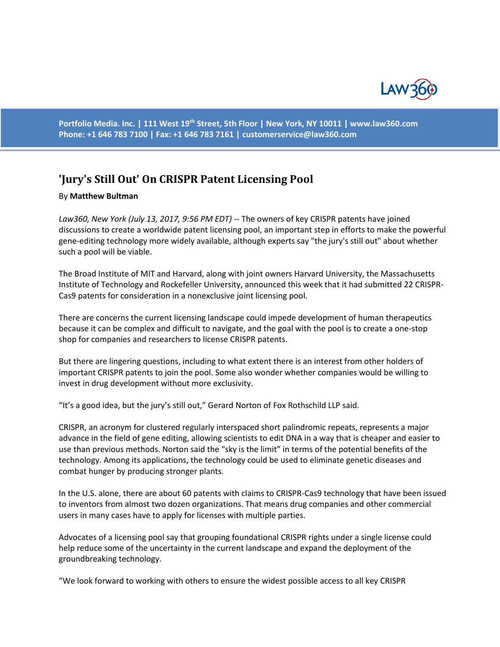

**Portfolio Media. Inc. | 111 West 19th Street, 5th Floor | New York, NY 10011 | www.law360.com Phone: +1 646 783 7100 | Fax: +1 646 783 7161 | [customerservice@law360.com](mailto:customerservice@law360.com)**

## **'Jury's Still Out' On CRISPR Patent Licensing Pool**

## By **Matthew Bultman**

*Law360, New York (July 13, 2017, 9:56 PM EDT) --* The owners of key CRISPR patents have joined discussions to create a worldwide patent licensing pool, an important step in efforts to make the powerful gene-editing technology more widely available, although experts say "the jury's still out" about whether such a pool will be viable.

The Broad Institute of MIT and Harvard, along with joint owners Harvard University, the Massachusetts Institute of Technology and Rockefeller University, announced this week that it had submitted 22 CRISPR-Cas9 patents for consideration in a nonexclusive joint licensing pool.

There are concerns the current licensing landscape could impede development of human therapeutics because it can be complex and difficult to navigate, and the goal with the pool is to create a one-stop shop for companies and researchers to license CRISPR patents.

But there are lingering questions, including to what extent there is an interest from other holders of important CRISPR patents to join the pool. Some also wonder whether companies would be willing to invest in drug development without more exclusivity.

"It's a good idea, but the jury's still out," Gerard Norton of Fox Rothschild LLP said.

CRISPR, an acronym for clustered regularly interspaced short palindromic repeats, represents a major advance in the field of gene editing, allowing scientists to edit DNA in a way that is cheaper and easier to use than previous methods. Norton said the "sky is the limit" in terms of the potential benefits of the technology. Among its applications, the technology could be used to eliminate genetic diseases and combat hunger by producing stronger plants.

In the U.S. alone, there are about 60 patents with claims to CRISPR-Cas9 technology that have been issued to inventors from almost two dozen organizations. That means drug companies and other commercial users in many cases have to apply for licenses with multiple parties.

Advocates of a licensing pool say that grouping foundational CRISPR rights under a single license could help reduce some of the uncertainty in the current landscape and expand the deployment of the groundbreaking technology.

"We look forward to working with others to ensure the widest possible access to all key CRISPR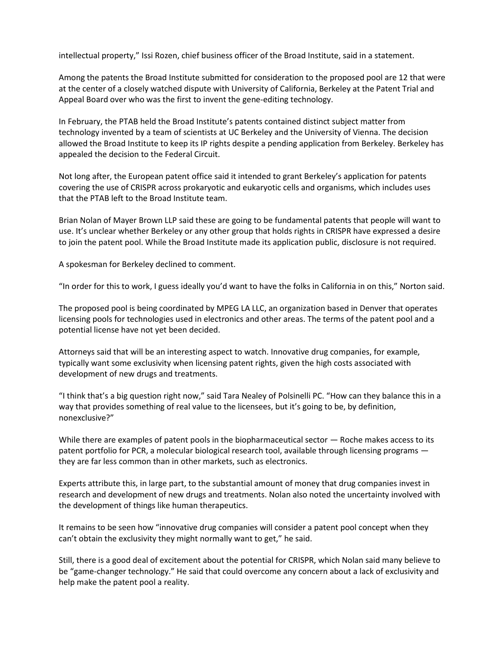intellectual property," Issi Rozen, chief business officer of the Broad Institute, said in a statement.

Among the patents the Broad Institute submitted for consideration to the proposed pool are 12 that were at the center of a closely watched dispute with University of California, Berkeley at the Patent Trial and Appeal Board over who was the first to invent the gene-editing technology.

In February, the PTAB held the Broad Institute's patents contained distinct subject matter from technology invented by a team of scientists at UC Berkeley and the University of Vienna. The decision allowed the Broad Institute to keep its IP rights despite a pending application from Berkeley. Berkeley has appealed the decision to the Federal Circuit.

Not long after, the European patent office said it intended to grant Berkeley's application for patents covering the use of CRISPR across prokaryotic and eukaryotic cells and organisms, which includes uses that the PTAB left to the Broad Institute team.

Brian Nolan of Mayer Brown LLP said these are going to be fundamental patents that people will want to use. It's unclear whether Berkeley or any other group that holds rights in CRISPR have expressed a desire to join the patent pool. While the Broad Institute made its application public, disclosure is not required.

A spokesman for Berkeley declined to comment.

"In order for this to work, I guess ideally you'd want to have the folks in California in on this," Norton said.

The proposed pool is being coordinated by MPEG LA LLC, an organization based in Denver that operates licensing pools for technologies used in electronics and other areas. The terms of the patent pool and a potential license have not yet been decided.

Attorneys said that will be an interesting aspect to watch. Innovative drug companies, for example, typically want some exclusivity when licensing patent rights, given the high costs associated with development of new drugs and treatments.

"I think that's a big question right now," said Tara Nealey of Polsinelli PC. "How can they balance this in a way that provides something of real value to the licensees, but it's going to be, by definition, nonexclusive?"

While there are examples of patent pools in the biopharmaceutical sector — Roche makes access to its patent portfolio for PCR, a molecular biological research tool, available through licensing programs they are far less common than in other markets, such as electronics.

Experts attribute this, in large part, to the substantial amount of money that drug companies invest in research and development of new drugs and treatments. Nolan also noted the uncertainty involved with the development of things like human therapeutics.

It remains to be seen how "innovative drug companies will consider a patent pool concept when they can't obtain the exclusivity they might normally want to get," he said.

Still, there is a good deal of excitement about the potential for CRISPR, which Nolan said many believe to be "game-changer technology." He said that could overcome any concern about a lack of exclusivity and help make the patent pool a reality.